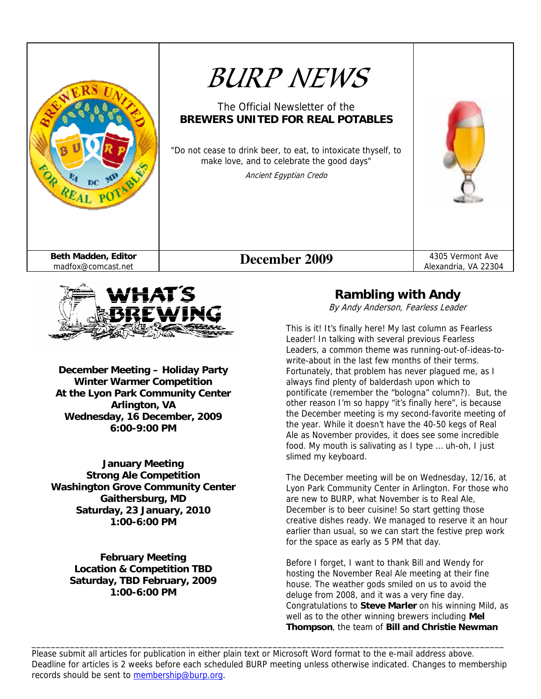



**December Meeting – Holiday Party Winter Warmer Competition At the Lyon Park Community Center Arlington, VA Wednesday, 16 December, 2009 6:00-9:00 PM** 

**January Meeting Strong Ale Competition Washington Grove Community Center Gaithersburg, MD Saturday, 23 January, 2010 1:00-6:00 PM** 

> **February Meeting Location & Competition TBD Saturday, TBD February, 2009 1:00-6:00 PM**

# **Rambling with Andy**

By Andy Anderson, Fearless Leader

This is it! It's finally here! My last column as Fearless Leader! In talking with several previous Fearless Leaders, a common theme was running-out-of-ideas-towrite-about in the last few months of their terms. Fortunately, that problem has never plagued me, as I always find plenty of balderdash upon which to pontificate (remember the "bologna" column?). But, the other reason I'm so happy "it's finally here", is because the December meeting is my second-favorite meeting of the year. While it doesn't have the 40-50 kegs of Real Ale as November provides, it does see some incredible food. My mouth is salivating as I type … uh-oh, I just slimed my keyboard.

The December meeting will be on Wednesday, 12/16, at Lyon Park Community Center in Arlington. For those who are new to BURP, what November is to Real Ale, December is to beer cuisine! So start getting those creative dishes ready. We managed to reserve it an hour earlier than usual, so we can start the festive prep work for the space as early as 5 PM that day.

Before I forget, I want to thank Bill and Wendy for hosting the November Real Ale meeting at their fine house. The weather gods smiled on us to avoid the deluge from 2008, and it was a very fine day. Congratulations to **Steve Marler** on his winning Mild, as well as to the other winning brewers including **Mel Thompson**, the team of **Bill and Christie Newman**

Please submit all articles for publication in either plain text or Microsoft Word format to the e-mail address above. Deadline for articles is 2 weeks before each scheduled BURP meeting unless otherwise indicated. Changes to membership records should be sent to membership@burp.org.

\_\_\_\_\_\_\_\_\_\_\_\_\_\_\_\_\_\_\_\_\_\_\_\_\_\_\_\_\_\_\_\_\_\_\_\_\_\_\_\_\_\_\_\_\_\_\_\_\_\_\_\_\_\_\_\_\_\_\_\_\_\_\_\_\_\_\_\_\_\_\_\_\_\_\_\_\_\_\_\_\_\_\_\_\_\_\_\_\_\_\_\_\_\_\_\_\_\_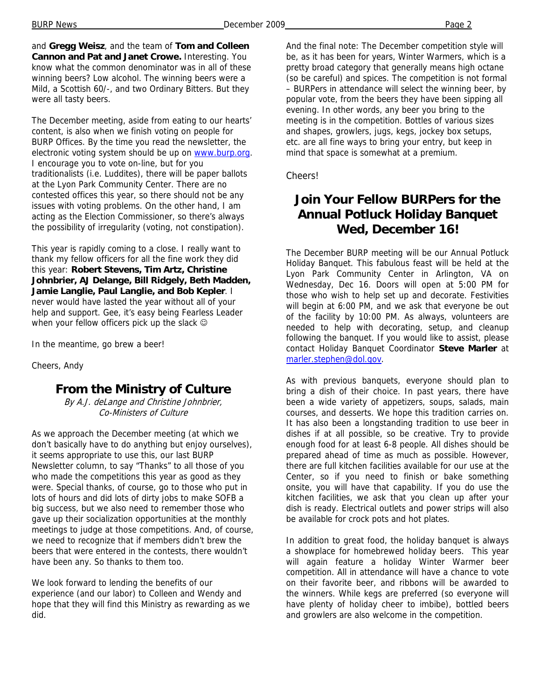and **Gregg Weisz**, and the team of **Tom and Colleen Cannon and Pat and Janet Crowe.** Interesting. You know what the common denominator was in all of these winning beers? Low alcohol. The winning beers were a Mild, a Scottish 60/-, and two Ordinary Bitters. But they were all tasty beers.

The December meeting, aside from eating to our hearts' content, is also when we finish voting on people for BURP Offices. By the time you read the newsletter, the electronic voting system should be up on www.burp.org. I encourage you to vote on-line, but for you traditionalists (i.e. Luddites), there will be paper ballots at the Lyon Park Community Center. There are no contested offices this year, so there should not be any issues with voting problems. On the other hand, I am acting as the Election Commissioner, so there's always the possibility of irregularity (voting, not constipation).

This year is rapidly coming to a close. I really want to thank my fellow officers for all the fine work they did this year: **Robert Stevens, Tim Artz, Christine Johnbrier, AJ Delange, Bill Ridgely, Beth Madden, Jamie Langlie, Paul Langlie, and Bob Kepler**. I never would have lasted the year without all of your help and support. Gee, it's easy being Fearless Leader when your fellow officers pick up the slack  $\odot$ 

In the meantime, go brew a beer!

Cheers, Andy

#### **From the Ministry of Culture**

By A.J. deLange and Christine Johnbrier, Co-Ministers of Culture

As we approach the December meeting (at which we don't basically have to do anything but enjoy ourselves), it seems appropriate to use this, our last BURP Newsletter column, to say "Thanks" to all those of you who made the competitions this year as good as they were. Special thanks, of course, go to those who put in lots of hours and did lots of dirty jobs to make SOFB a big success, but we also need to remember those who gave up their socialization opportunities at the monthly meetings to judge at those competitions. And, of course, we need to recognize that if members didn't brew the beers that were entered in the contests, there wouldn't have been any. So thanks to them too.

We look forward to lending the benefits of our experience (and our labor) to Colleen and Wendy and hope that they will find this Ministry as rewarding as we did.

And the final note: The December competition style will be, as it has been for years, Winter Warmers, which is a pretty broad category that generally means high octane (so be careful) and spices. The competition is not formal – BURPers in attendance will select the winning beer, by popular vote, from the beers they have been sipping all evening. In other words, any beer you bring to the meeting is in the competition. Bottles of various sizes and shapes, growlers, jugs, kegs, jockey box setups, etc. are all fine ways to bring your entry, but keep in mind that space is somewhat at a premium.

Cheers!

# **Join Your Fellow BURPers for the Annual Potluck Holiday Banquet Wed, December 16!**

The December BURP meeting will be our Annual Potluck Holiday Banquet. This fabulous feast will be held at the Lyon Park Community Center in Arlington, VA on Wednesday, Dec 16. Doors will open at 5:00 PM for those who wish to help set up and decorate. Festivities will begin at 6:00 PM, and we ask that everyone be out of the facility by 10:00 PM. As always, volunteers are needed to help with decorating, setup, and cleanup following the banquet. If you would like to assist, please contact Holiday Banquet Coordinator **Steve Marler** at marler.stephen@dol.gov.

As with previous banquets, everyone should plan to bring a dish of their choice. In past years, there have been a wide variety of appetizers, soups, salads, main courses, and desserts. We hope this tradition carries on. It has also been a longstanding tradition to use beer in dishes if at all possible, so be creative. Try to provide enough food for at least 6-8 people. All dishes should be prepared ahead of time as much as possible. However, there are full kitchen facilities available for our use at the Center, so if you need to finish or bake something onsite, you will have that capability. If you do use the kitchen facilities, we ask that you clean up after your dish is ready. Electrical outlets and power strips will also be available for crock pots and hot plates.

In addition to great food, the holiday banquet is always a showplace for homebrewed holiday beers. This year will again feature a holiday Winter Warmer beer competition. All in attendance will have a chance to vote on their favorite beer, and ribbons will be awarded to the winners. While kegs are preferred (so everyone will have plenty of holiday cheer to imbibe), bottled beers and growlers are also welcome in the competition.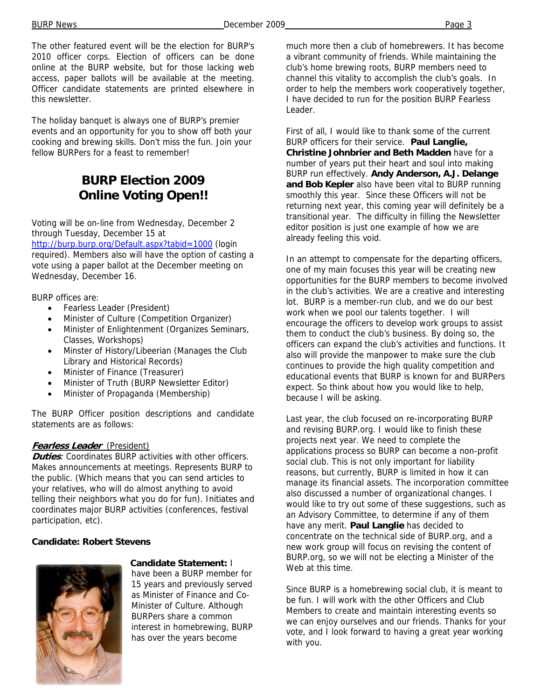BURP News **December 2009 Page 3** 

The other featured event will be the election for BURP's 2010 officer corps. Election of officers can be done online at the BURP website, but for those lacking web access, paper ballots will be available at the meeting. Officer candidate statements are printed elsewhere in this newsletter.

The holiday banquet is always one of BURP's premier events and an opportunity for you to show off both your cooking and brewing skills. Don't miss the fun. Join your fellow BURPers for a feast to remember!

# **BURP Election 2009 Online Voting Open!!**

Voting will be on-line from Wednesday, December 2 through Tuesday, December 15 at

http://burp.burp.org/Default.aspx?tabid=1000 (login required). Members also will have the option of casting a vote using a paper ballot at the December meeting on Wednesday, December 16.

BURP offices are:

- Fearless Leader (President)
- Minister of Culture (Competition Organizer)
- Minister of Enlightenment (Organizes Seminars, Classes, Workshops)
- Minster of History/Libeerian (Manages the Club Library and Historical Records)
- Minister of Finance (Treasurer)
- Minister of Truth (BURP Newsletter Editor)
- Minister of Propaganda (Membership)

The BURP Officer position descriptions and candidate statements are as follows:

#### **Fearless Leader** (President)

**Duties**: Coordinates BURP activities with other officers. Makes announcements at meetings. Represents BURP to the public. (Which means that you can send articles to your relatives, who will do almost anything to avoid telling their neighbors what you do for fun). Initiates and coordinates major BURP activities (conferences, festival participation, etc).

#### **Candidate: Robert Stevens**



**Candidate Statement:** I

have been a BURP member for 15 years and previously served as Minister of Finance and Co-Minister of Culture. Although BURPers share a common interest in homebrewing, BURP has over the years become

much more then a club of homebrewers. It has become a vibrant community of friends. While maintaining the club's home brewing roots, BURP members need to channel this vitality to accomplish the club's goals. In order to help the members work cooperatively together, I have decided to run for the position BURP Fearless Leader.

First of all, I would like to thank some of the current BURP officers for their service. **Paul Langlie, Christine Johnbrier and Beth Madden** have for a number of years put their heart and soul into making BURP run effectively. **Andy Anderson, A.J. Delange and Bob Kepler** also have been vital to BURP running smoothly this year. Since these Officers will not be returning next year, this coming year will definitely be a transitional year. The difficulty in filling the Newsletter editor position is just one example of how we are already feeling this void.

In an attempt to compensate for the departing officers, one of my main focuses this year will be creating new opportunities for the BURP members to become involved in the club's activities. We are a creative and interesting lot. BURP is a member-run club, and we do our best work when we pool our talents together. I will encourage the officers to develop work groups to assist them to conduct the club's business. By doing so, the officers can expand the club's activities and functions. It also will provide the manpower to make sure the club continues to provide the high quality competition and educational events that BURP is known for and BURPers expect. So think about how you would like to help, because I will be asking.

Last year, the club focused on re-incorporating BURP and revising BURP.org. I would like to finish these projects next year. We need to complete the applications process so BURP can become a non-profit social club. This is not only important for liability reasons, but currently, BURP is limited in how it can manage its financial assets. The incorporation committee also discussed a number of organizational changes. I would like to try out some of these suggestions, such as an Advisory Committee, to determine if any of them have any merit. **Paul Langlie** has decided to concentrate on the technical side of BURP.org, and a new work group will focus on revising the content of BURP.org, so we will not be electing a Minister of the Web at this time.

Since BURP is a homebrewing social club, it is meant to be fun. I will work with the other Officers and Club Members to create and maintain interesting events so we can enjoy ourselves and our friends. Thanks for your vote, and I look forward to having a great year working with you.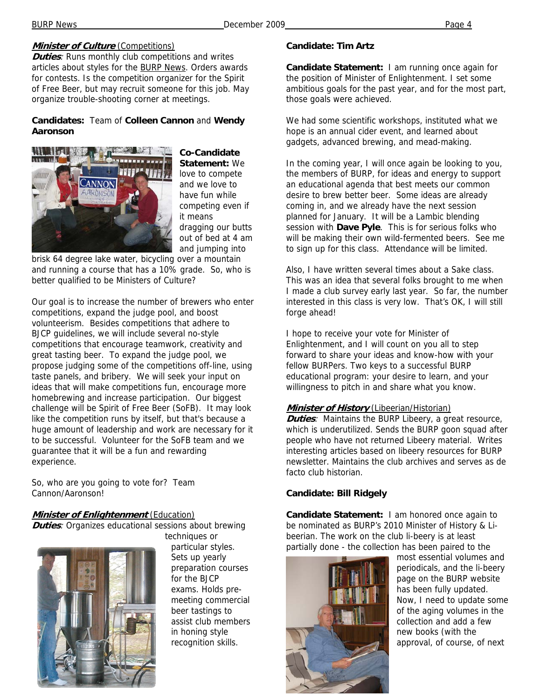#### **Minister of Culture** (Competitions)

**Duties:** Runs monthly club competitions and writes articles about styles for the BURP News. Orders awards for contests. Is the competition organizer for the Spirit of Free Beer, but may recruit someone for this job. May organize trouble-shooting corner at meetings.

#### **Candidates:** Team of **Colleen Cannon** and **Wendy Aaronson**



**Co-Candidate Statement:** We love to compete and we love to have fun while competing even if it means dragging our butts out of bed at 4 am and jumping into

brisk 64 degree lake water, bicycling over a mountain and running a course that has a 10% grade. So, who is better qualified to be Ministers of Culture?

Our goal is to increase the number of brewers who enter competitions, expand the judge pool, and boost volunteerism. Besides competitions that adhere to BJCP guidelines, we will include several no-style competitions that encourage teamwork, creativity and great tasting beer. To expand the judge pool, we propose judging some of the competitions off-line, using taste panels, and bribery. We will seek your input on ideas that will make competitions fun, encourage more homebrewing and increase participation. Our biggest challenge will be Spirit of Free Beer (SoFB). It may look like the competition runs by itself, but that's because a huge amount of leadership and work are necessary for it to be successful. Volunteer for the SoFB team and we guarantee that it will be a fun and rewarding experience.

So, who are you going to vote for? Team Cannon/Aaronson!

#### **Minister of Enlightenment** (Education)

**Duties**: Organizes educational sessions about brewing



techniques or particular styles. Sets up yearly preparation courses for the BJCP exams. Holds premeeting commercial beer tastings to assist club members in honing style recognition skills.

#### **Candidate: Tim Artz**

**Candidate Statement:** I am running once again for the position of Minister of Enlightenment. I set some ambitious goals for the past year, and for the most part, those goals were achieved.

We had some scientific workshops, instituted what we hope is an annual cider event, and learned about gadgets, advanced brewing, and mead-making.

In the coming year, I will once again be looking to you, the members of BURP, for ideas and energy to support an educational agenda that best meets our common desire to brew better beer. Some ideas are already coming in, and we already have the next session planned for January. It will be a Lambic blending session with **Dave Pyle**. This is for serious folks who will be making their own wild-fermented beers. See me to sign up for this class. Attendance will be limited.

Also, I have written several times about a Sake class. This was an idea that several folks brought to me when I made a club survey early last year. So far, the number interested in this class is very low. That's OK, I will still forge ahead!

I hope to receive your vote for Minister of Enlightenment, and I will count on you all to step forward to share your ideas and know-how with your fellow BURPers. Two keys to a successful BURP educational program: your desire to learn, and your willingness to pitch in and share what you know.

#### **Minister of History** (Libeerian/Historian)

**Duties**: Maintains the BURP Libeery, a great resource, which is underutilized. Sends the BURP goon squad after people who have not returned Libeery material. Writes interesting articles based on libeery resources for BURP newsletter. Maintains the club archives and serves as de facto club historian.

#### **Candidate: Bill Ridgely**

**Candidate Statement:** I am honored once again to be nominated as BURP's 2010 Minister of History & Libeerian. The work on the club li-beery is at least partially done - the collection has been paired to the



most essential volumes and periodicals, and the li-beery page on the BURP website has been fully updated. Now, I need to update some of the aging volumes in the collection and add a few new books (with the approval, of course, of next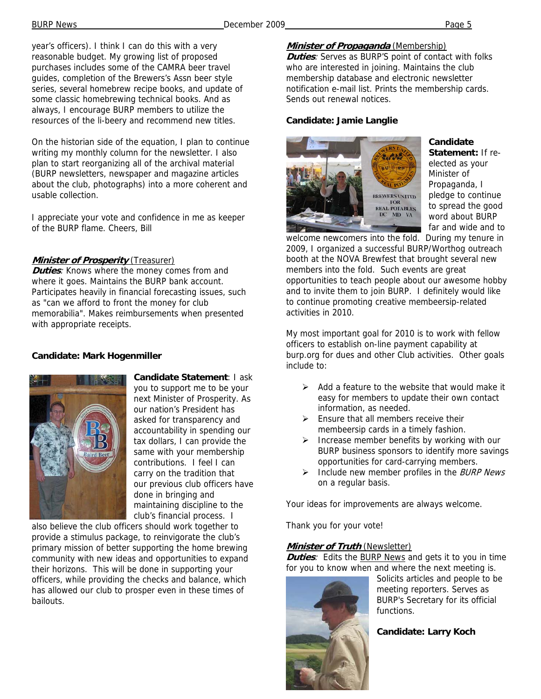year's officers). I think I can do this with a very reasonable budget. My growing list of proposed purchases includes some of the CAMRA beer travel guides, completion of the Brewers's Assn beer style series, several homebrew recipe books, and update of some classic homebrewing technical books. And as always, I encourage BURP members to utilize the resources of the li-beery and recommend new titles.

On the historian side of the equation, I plan to continue writing my monthly column for the newsletter. I also plan to start reorganizing all of the archival material (BURP newsletters, newspaper and magazine articles about the club, photographs) into a more coherent and usable collection.

I appreciate your vote and confidence in me as keeper of the BURP flame. Cheers, Bill

#### **Minister of Prosperity** (Treasurer)

**Duties:** Knows where the money comes from and where it goes. Maintains the BURP bank account. Participates heavily in financial forecasting issues, such as "can we afford to front the money for club memorabilia". Makes reimbursements when presented with appropriate receipts.

#### **Candidate: Mark Hogenmiller**



**Candidate Statement**: I ask you to support me to be your next Minister of Prosperity. As our nation's President has asked for transparency and accountability in spending our tax dollars, I can provide the same with your membership contributions. I feel I can carry on the tradition that our previous club officers have done in bringing and maintaining discipline to the club's financial process. I

also believe the club officers should work together to provide a stimulus package, to reinvigorate the club's primary mission of better supporting the home brewing community with new ideas and opportunities to expand their horizons. This will be done in supporting your officers, while providing the checks and balance, which has allowed our club to prosper even in these times of bailouts.

### **Minister of Propaganda** (Membership)

**Duties**: Serves as BURP'S point of contact with folks who are interested in joining. Maintains the club membership database and electronic newsletter notification e-mail list. Prints the membership cards. Sends out renewal notices.

#### **Candidate: Jamie Langlie**



**Candidate Statement:** If reelected as your Minister of Propaganda, I pledge to continue to spread the good word about BURP far and wide and to

welcome newcomers into the fold. During my tenure in 2009, I organized a successful BURP/Worthog outreach booth at the NOVA Brewfest that brought several new members into the fold. Such events are great opportunities to teach people about our awesome hobby and to invite them to join BURP. I definitely would like to continue promoting creative membeersip-related activities in 2010.

My most important goal for 2010 is to work with fellow officers to establish on-line payment capability at burp.org for dues and other Club activities. Other goals include to:

- $\triangleright$  Add a feature to the website that would make it easy for members to update their own contact information, as needed.
- $\triangleright$  Ensure that all members receive their membeersip cards in a timely fashion.
- Increase member benefits by working with our BURP business sponsors to identify more savings opportunities for card-carrying members.
- $\triangleright$  Include new member profiles in the *BURP News* on a regular basis.

Your ideas for improvements are always welcome.

Thank you for your vote!

#### **Minister of Truth** (Newsletter)

**Duties**: Edits the **BURP News** and gets it to you in time for you to know when and where the next meeting is.



Solicits articles and people to be meeting reporters. Serves as BURP's Secretary for its official functions.

**Candidate: Larry Koch**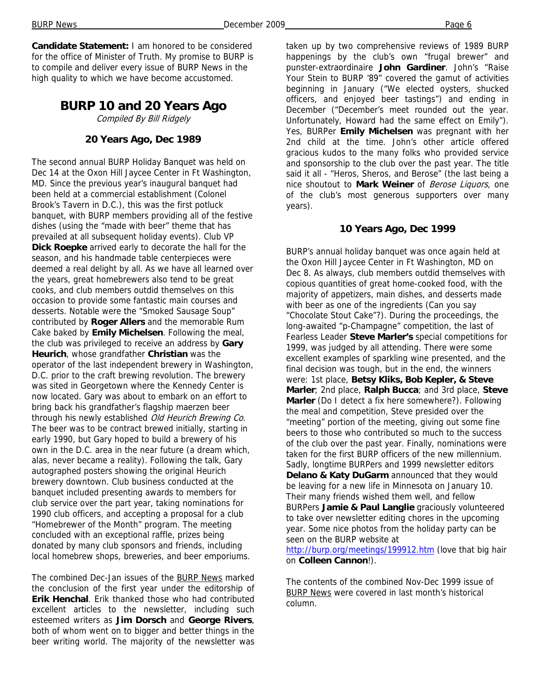**Candidate Statement:** I am honored to be considered for the office of Minister of Truth. My promise to BURP is to compile and deliver every issue of BURP News in the high quality to which we have become accustomed.

# **BURP 10 and 20 Years Ago**

Compiled By Bill Ridgely

#### **20 Years Ago, Dec 1989**

The second annual BURP Holiday Banquet was held on Dec 14 at the Oxon Hill Jaycee Center in Ft Washington, MD. Since the previous year's inaugural banquet had been held at a commercial establishment (Colonel Brook's Tavern in D.C.), this was the first potluck banquet, with BURP members providing all of the festive dishes (using the "made with beer" theme that has prevailed at all subsequent holiday events). Club VP **Dick Roepke** arrived early to decorate the hall for the season, and his handmade table centerpieces were deemed a real delight by all. As we have all learned over the years, great homebrewers also tend to be great cooks, and club members outdid themselves on this occasion to provide some fantastic main courses and desserts. Notable were the "Smoked Sausage Soup" contributed by **Roger Allers** and the memorable Rum Cake baked by **Emily Michelsen**. Following the meal, the club was privileged to receive an address by **Gary Heurich**, whose grandfather **Christian** was the operator of the last independent brewery in Washington, D.C. prior to the craft brewing revolution. The brewery was sited in Georgetown where the Kennedy Center is now located. Gary was about to embark on an effort to bring back his grandfather's flagship maerzen beer through his newly established Old Heurich Brewing Co. The beer was to be contract brewed initially, starting in early 1990, but Gary hoped to build a brewery of his own in the D.C. area in the near future (a dream which, alas, never became a reality). Following the talk, Gary autographed posters showing the original Heurich brewery downtown. Club business conducted at the banquet included presenting awards to members for club service over the part year, taking nominations for 1990 club officers, and accepting a proposal for a club "Homebrewer of the Month" program. The meeting concluded with an exceptional raffle, prizes being donated by many club sponsors and friends, including local homebrew shops, breweries, and beer emporiums.

The combined Dec-Jan issues of the BURP News marked the conclusion of the first year under the editorship of **Erik Henchal**. Erik thanked those who had contributed excellent articles to the newsletter, including such esteemed writers as **Jim Dorsch** and **George Rivers**, both of whom went on to bigger and better things in the beer writing world. The majority of the newsletter was taken up by two comprehensive reviews of 1989 BURP happenings by the club's own "frugal brewer" and punster-extraordinaire **John Gardiner**. John's "Raise Your Stein to BURP '89" covered the gamut of activities beginning in January ("We elected oysters, shucked officers, and enjoyed beer tastings") and ending in December ("December's meet rounded out the year. Unfortunately, Howard had the same effect on Emily"). Yes, BURPer **Emily Michelsen** was pregnant with her 2nd child at the time. John's other article offered gracious kudos to the many folks who provided service and sponsorship to the club over the past year. The title said it all - "Heros, Sheros, and Berose" (the last being a nice shoutout to **Mark Weiner** of Berose Liquors, one of the club's most generous supporters over many years).

#### **10 Years Ago, Dec 1999**

BURP's annual holiday banquet was once again held at the Oxon Hill Jaycee Center in Ft Washington, MD on Dec 8. As always, club members outdid themselves with copious quantities of great home-cooked food, with the majority of appetizers, main dishes, and desserts made with beer as one of the ingredients (Can you say "Chocolate Stout Cake"?). During the proceedings, the long-awaited "p-Champagne" competition, the last of Fearless Leader **Steve Marler's** special competitions for 1999, was judged by all attending. There were some excellent examples of sparkling wine presented, and the final decision was tough, but in the end, the winners were: 1st place, **Betsy Kliks, Bob Kepler, & Steve Marler**; 2nd place, **Ralph Bucca**; and 3rd place, **Steve Marler** (Do I detect a fix here somewhere?). Following the meal and competition, Steve presided over the "meeting" portion of the meeting, giving out some fine beers to those who contributed so much to the success of the club over the past year. Finally, nominations were taken for the first BURP officers of the new millennium. Sadly, longtime BURPers and 1999 newsletter editors **Delano & Katy DuGarm** announced that they would be leaving for a new life in Minnesota on January 10. Their many friends wished them well, and fellow BURPers **Jamie & Paul Langlie** graciously volunteered to take over newsletter editing chores in the upcoming year. Some nice photos from the holiday party can be seen on the BURP website at

http://burp.org/meetings/199912.htm (love that big hair on **Colleen Cannon**!).

The contents of the combined Nov-Dec 1999 issue of **BURP News** were covered in last month's historical column.